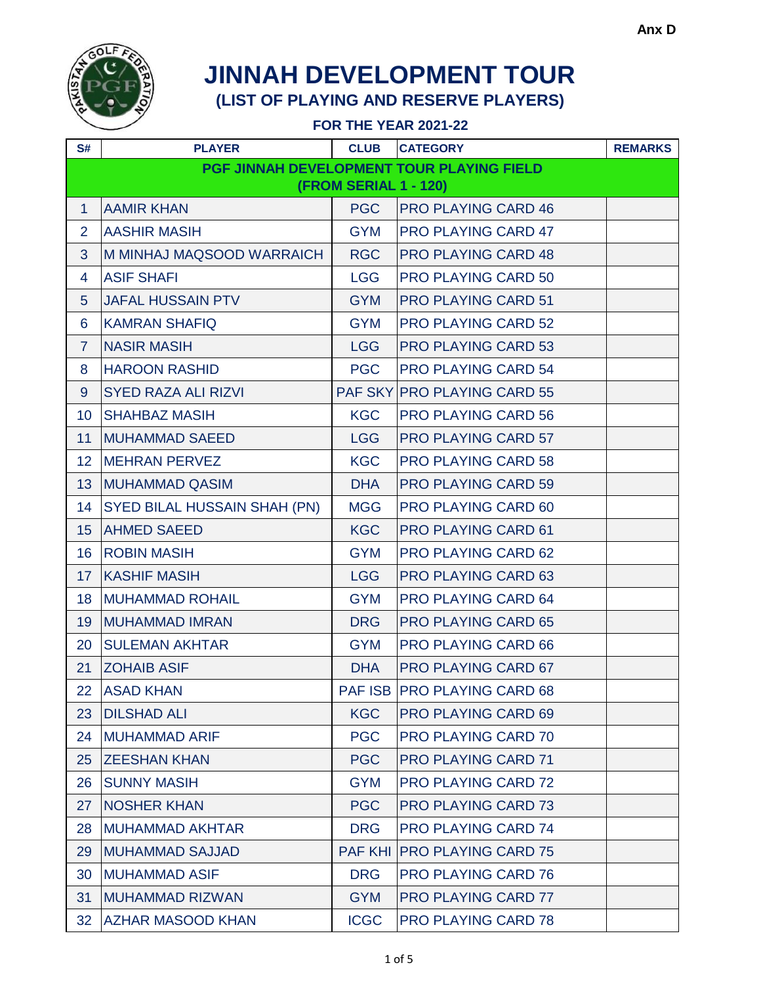

| S#                    | <b>PLAYER</b>                       | <b>CLUB</b> | <b>CATEGORY</b>                           | <b>REMARKS</b> |  |
|-----------------------|-------------------------------------|-------------|-------------------------------------------|----------------|--|
|                       |                                     |             | PGF JINNAH DEVELOPMENT TOUR PLAYING FIELD |                |  |
| (FROM SERIAL 1 - 120) |                                     |             |                                           |                |  |
| $\mathbf{1}$          | <b>AAMIR KHAN</b>                   | <b>PGC</b>  | <b>PRO PLAYING CARD 46</b>                |                |  |
| $\overline{2}$        | <b>AASHIR MASIH</b>                 | <b>GYM</b>  | <b>PRO PLAYING CARD 47</b>                |                |  |
| 3                     | M MINHAJ MAQSOOD WARRAICH           | <b>RGC</b>  | <b>PRO PLAYING CARD 48</b>                |                |  |
| 4                     | <b>ASIF SHAFI</b>                   | <b>LGG</b>  | <b>PRO PLAYING CARD 50</b>                |                |  |
| $5\phantom{.}$        | <b>JAFAL HUSSAIN PTV</b>            | <b>GYM</b>  | <b>PRO PLAYING CARD 51</b>                |                |  |
| 6                     | <b>KAMRAN SHAFIQ</b>                | <b>GYM</b>  | <b>PRO PLAYING CARD 52</b>                |                |  |
| $\overline{7}$        | <b>NASIR MASIH</b>                  | <b>LGG</b>  | <b>PRO PLAYING CARD 53</b>                |                |  |
| 8                     | <b>HAROON RASHID</b>                | <b>PGC</b>  | <b>PRO PLAYING CARD 54</b>                |                |  |
| 9                     | <b>SYED RAZA ALI RIZVI</b>          |             | PAF SKY PRO PLAYING CARD 55               |                |  |
| 10 <sup>°</sup>       | <b>SHAHBAZ MASIH</b>                | <b>KGC</b>  | <b>PRO PLAYING CARD 56</b>                |                |  |
| 11                    | <b>MUHAMMAD SAEED</b>               | <b>LGG</b>  | <b>PRO PLAYING CARD 57</b>                |                |  |
| 12 <sub>2</sub>       | <b>MEHRAN PERVEZ</b>                | <b>KGC</b>  | <b>PRO PLAYING CARD 58</b>                |                |  |
| 13                    | <b>MUHAMMAD QASIM</b>               | <b>DHA</b>  | <b>PRO PLAYING CARD 59</b>                |                |  |
| 14                    | <b>SYED BILAL HUSSAIN SHAH (PN)</b> | <b>MGG</b>  | <b>PRO PLAYING CARD 60</b>                |                |  |
| 15                    | <b>AHMED SAEED</b>                  | <b>KGC</b>  | <b>PRO PLAYING CARD 61</b>                |                |  |
| 16 <sup>°</sup>       | <b>ROBIN MASIH</b>                  | <b>GYM</b>  | <b>PRO PLAYING CARD 62</b>                |                |  |
| 17 <sup>2</sup>       | <b>KASHIF MASIH</b>                 | <b>LGG</b>  | <b>PRO PLAYING CARD 63</b>                |                |  |
| 18                    | <b>MUHAMMAD ROHAIL</b>              | <b>GYM</b>  | <b>PRO PLAYING CARD 64</b>                |                |  |
| 19                    | <b>MUHAMMAD IMRAN</b>               | <b>DRG</b>  | <b>PRO PLAYING CARD 65</b>                |                |  |
| 20                    | <b>SULEMAN AKHTAR</b>               | <b>GYM</b>  | <b>PRO PLAYING CARD 66</b>                |                |  |
| 21                    | <b>ZOHAIB ASIF</b>                  | <b>DHA</b>  | <b>PRO PLAYING CARD 67</b>                |                |  |
| 22                    | <b>ASAD KHAN</b>                    |             | PAF ISB PRO PLAYING CARD 68               |                |  |
| 23                    | <b>DILSHAD ALI</b>                  | <b>KGC</b>  | <b>PRO PLAYING CARD 69</b>                |                |  |
| 24                    | <b>MUHAMMAD ARIF</b>                | <b>PGC</b>  | <b>PRO PLAYING CARD 70</b>                |                |  |
| 25 <sub>2</sub>       | <b>ZEESHAN KHAN</b>                 | <b>PGC</b>  | <b>PRO PLAYING CARD 71</b>                |                |  |
| 26                    | <b>SUNNY MASIH</b>                  | <b>GYM</b>  | <b>PRO PLAYING CARD 72</b>                |                |  |
| 27                    | <b>NOSHER KHAN</b>                  | <b>PGC</b>  | <b>PRO PLAYING CARD 73</b>                |                |  |
| 28                    | <b>MUHAMMAD AKHTAR</b>              | <b>DRG</b>  | <b>PRO PLAYING CARD 74</b>                |                |  |
| 29                    | <b>MUHAMMAD SAJJAD</b>              |             | <b>PAF KHI IPRO PLAYING CARD 75</b>       |                |  |
| 30                    | <b>MUHAMMAD ASIF</b>                | <b>DRG</b>  | <b>PRO PLAYING CARD 76</b>                |                |  |
| 31                    | <b>MUHAMMAD RIZWAN</b>              | <b>GYM</b>  | <b>PRO PLAYING CARD 77</b>                |                |  |
| 32                    | <b>AZHAR MASOOD KHAN</b>            | <b>ICGC</b> | <b>PRO PLAYING CARD 78</b>                |                |  |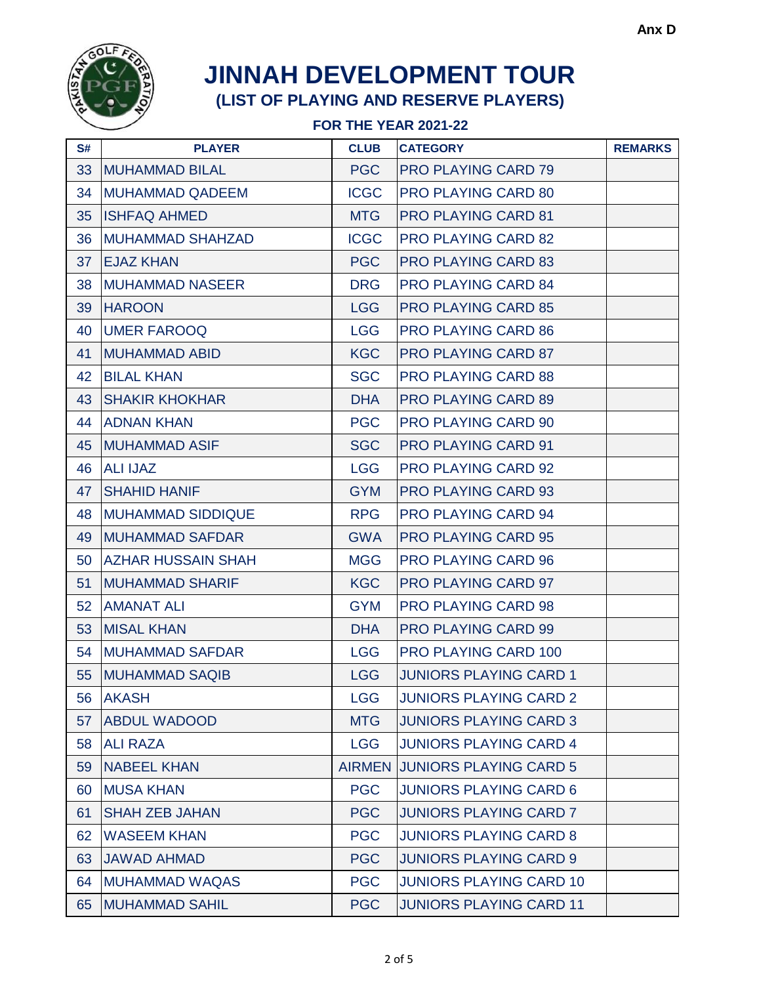

| S# | <b>PLAYER</b>             | <b>CLUB</b> | <b>CATEGORY</b>                | <b>REMARKS</b> |
|----|---------------------------|-------------|--------------------------------|----------------|
| 33 | <b>MUHAMMAD BILAL</b>     | <b>PGC</b>  | <b>PRO PLAYING CARD 79</b>     |                |
| 34 | <b>MUHAMMAD QADEEM</b>    | <b>ICGC</b> | <b>PRO PLAYING CARD 80</b>     |                |
| 35 | <b>ISHFAQ AHMED</b>       | <b>MTG</b>  | <b>PRO PLAYING CARD 81</b>     |                |
| 36 | <b>MUHAMMAD SHAHZAD</b>   | <b>ICGC</b> | <b>PRO PLAYING CARD 82</b>     |                |
| 37 | <b>EJAZ KHAN</b>          | <b>PGC</b>  | <b>PRO PLAYING CARD 83</b>     |                |
| 38 | <b>MUHAMMAD NASEER</b>    | <b>DRG</b>  | <b>PRO PLAYING CARD 84</b>     |                |
| 39 | <b>HAROON</b>             | <b>LGG</b>  | <b>PRO PLAYING CARD 85</b>     |                |
| 40 | <b>UMER FAROOQ</b>        | <b>LGG</b>  | <b>PRO PLAYING CARD 86</b>     |                |
| 41 | <b>MUHAMMAD ABID</b>      | <b>KGC</b>  | <b>PRO PLAYING CARD 87</b>     |                |
| 42 | <b>BILAL KHAN</b>         | <b>SGC</b>  | <b>PRO PLAYING CARD 88</b>     |                |
| 43 | <b>SHAKIR KHOKHAR</b>     | <b>DHA</b>  | <b>PRO PLAYING CARD 89</b>     |                |
| 44 | <b>ADNAN KHAN</b>         | <b>PGC</b>  | <b>PRO PLAYING CARD 90</b>     |                |
| 45 | <b>MUHAMMAD ASIF</b>      | <b>SGC</b>  | <b>PRO PLAYING CARD 91</b>     |                |
| 46 | <b>ALI IJAZ</b>           | <b>LGG</b>  | <b>PRO PLAYING CARD 92</b>     |                |
| 47 | <b>SHAHID HANIF</b>       | <b>GYM</b>  | <b>PRO PLAYING CARD 93</b>     |                |
| 48 | <b>MUHAMMAD SIDDIQUE</b>  | <b>RPG</b>  | <b>PRO PLAYING CARD 94</b>     |                |
| 49 | <b>MUHAMMAD SAFDAR</b>    | <b>GWA</b>  | <b>PRO PLAYING CARD 95</b>     |                |
| 50 | <b>AZHAR HUSSAIN SHAH</b> | <b>MGG</b>  | <b>PRO PLAYING CARD 96</b>     |                |
| 51 | <b>MUHAMMAD SHARIF</b>    | <b>KGC</b>  | <b>PRO PLAYING CARD 97</b>     |                |
| 52 | <b>AMANAT ALI</b>         | <b>GYM</b>  | <b>PRO PLAYING CARD 98</b>     |                |
| 53 | <b>MISAL KHAN</b>         | <b>DHA</b>  | <b>PRO PLAYING CARD 99</b>     |                |
| 54 | <b>MUHAMMAD SAFDAR</b>    | <b>LGG</b>  | <b>PRO PLAYING CARD 100</b>    |                |
| 55 | <b>MUHAMMAD SAQIB</b>     | <b>LGG</b>  | <b>JUNIORS PLAYING CARD 1</b>  |                |
| 56 | <b>AKASH</b>              | <b>LGG</b>  | <b>JUNIORS PLAYING CARD 2</b>  |                |
| 57 | <b>ABDUL WADOOD</b>       | <b>MTG</b>  | <b>JUNIORS PLAYING CARD 3</b>  |                |
| 58 | <b>ALI RAZA</b>           | <b>LGG</b>  | <b>JUNIORS PLAYING CARD 4</b>  |                |
| 59 | <b>NABEEL KHAN</b>        |             | AIRMEN JUNIORS PLAYING CARD 5  |                |
| 60 | <b>MUSA KHAN</b>          | <b>PGC</b>  | <b>JUNIORS PLAYING CARD 6</b>  |                |
| 61 | <b>SHAH ZEB JAHAN</b>     | <b>PGC</b>  | <b>JUNIORS PLAYING CARD 7</b>  |                |
| 62 | <b>WASEEM KHAN</b>        | <b>PGC</b>  | <b>JUNIORS PLAYING CARD 8</b>  |                |
| 63 | <b>JAWAD AHMAD</b>        | <b>PGC</b>  | <b>JUNIORS PLAYING CARD 9</b>  |                |
| 64 | <b>MUHAMMAD WAQAS</b>     | <b>PGC</b>  | <b>JUNIORS PLAYING CARD 10</b> |                |
| 65 | <b>MUHAMMAD SAHIL</b>     | <b>PGC</b>  | <b>JUNIORS PLAYING CARD 11</b> |                |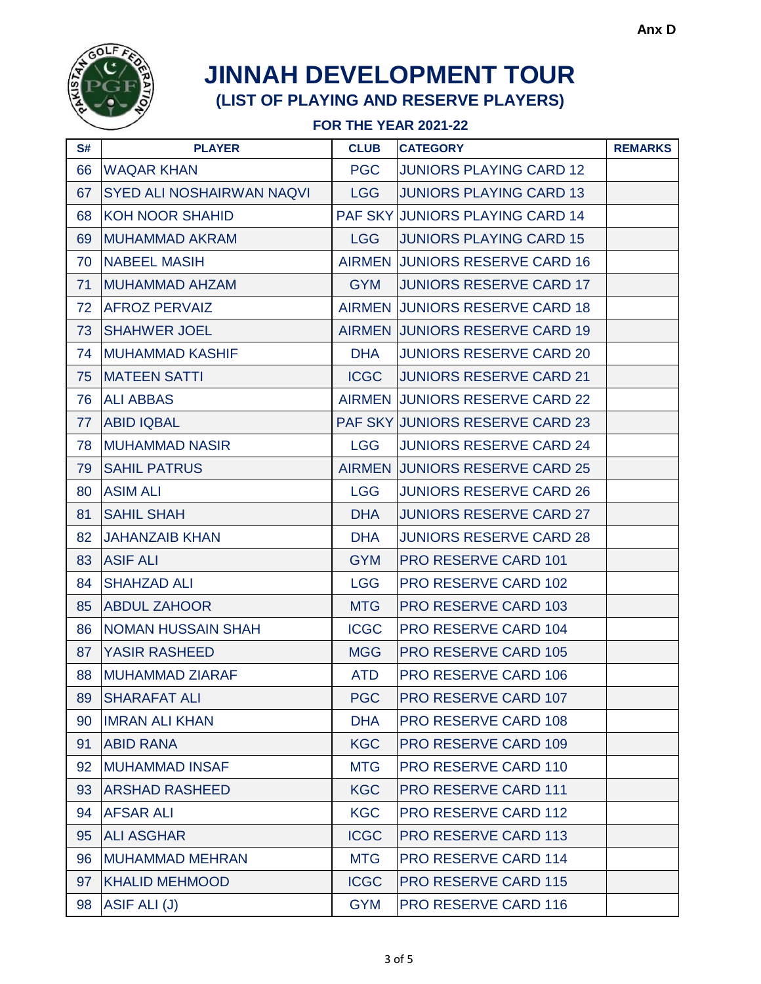

| S# | <b>PLAYER</b>                    | <b>CLUB</b> | <b>CATEGORY</b>                        | <b>REMARKS</b> |
|----|----------------------------------|-------------|----------------------------------------|----------------|
| 66 | <b>WAQAR KHAN</b>                | <b>PGC</b>  | <b>JUNIORS PLAYING CARD 12</b>         |                |
| 67 | <b>SYED ALI NOSHAIRWAN NAQVI</b> | <b>LGG</b>  | <b>JUNIORS PLAYING CARD 13</b>         |                |
| 68 | <b>KOH NOOR SHAHID</b>           |             | <b>PAF SKY JUNIORS PLAYING CARD 14</b> |                |
| 69 | <b>MUHAMMAD AKRAM</b>            | <b>LGG</b>  | <b>JUNIORS PLAYING CARD 15</b>         |                |
| 70 | <b>NABEEL MASIH</b>              |             | <b>AIRMEN JUNIORS RESERVE CARD 16</b>  |                |
| 71 | <b>MUHAMMAD AHZAM</b>            | <b>GYM</b>  | <b>JUNIORS RESERVE CARD 17</b>         |                |
| 72 | <b>AFROZ PERVAIZ</b>             |             | AIRMEN JUNIORS RESERVE CARD 18         |                |
| 73 | <b>SHAHWER JOEL</b>              |             | AIRMEN JUNIORS RESERVE CARD 19         |                |
| 74 | <b>MUHAMMAD KASHIF</b>           | <b>DHA</b>  | <b>JUNIORS RESERVE CARD 20</b>         |                |
| 75 | <b>MATEEN SATTI</b>              | <b>ICGC</b> | <b>JUNIORS RESERVE CARD 21</b>         |                |
| 76 | <b>ALI ABBAS</b>                 |             | AIRMEN JUNIORS RESERVE CARD 22         |                |
| 77 | <b>ABID IQBAL</b>                |             | <b>PAF SKY JUNIORS RESERVE CARD 23</b> |                |
| 78 | <b>MUHAMMAD NASIR</b>            | <b>LGG</b>  | <b>JUNIORS RESERVE CARD 24</b>         |                |
| 79 | <b>SAHIL PATRUS</b>              |             | AIRMEN JUNIORS RESERVE CARD 25         |                |
| 80 | <b>ASIM ALI</b>                  | <b>LGG</b>  | <b>JUNIORS RESERVE CARD 26</b>         |                |
| 81 | <b>SAHIL SHAH</b>                | <b>DHA</b>  | <b>JUNIORS RESERVE CARD 27</b>         |                |
| 82 | <b>JAHANZAIB KHAN</b>            | <b>DHA</b>  | <b>JUNIORS RESERVE CARD 28</b>         |                |
| 83 | <b>ASIF ALI</b>                  | <b>GYM</b>  | <b>PRO RESERVE CARD 101</b>            |                |
| 84 | <b>SHAHZAD ALI</b>               | <b>LGG</b>  | <b>PRO RESERVE CARD 102</b>            |                |
| 85 | <b>ABDUL ZAHOOR</b>              | <b>MTG</b>  | <b>PRO RESERVE CARD 103</b>            |                |
| 86 | <b>NOMAN HUSSAIN SHAH</b>        | <b>ICGC</b> | <b>PRO RESERVE CARD 104</b>            |                |
| 87 | <b>YASIR RASHEED</b>             | <b>MGG</b>  | <b>PRO RESERVE CARD 105</b>            |                |
| 88 | <b>MUHAMMAD ZIARAF</b>           | <b>ATD</b>  | <b>PRO RESERVE CARD 106</b>            |                |
| 89 | ISHARAFAT ALI                    | PGC.        | <b>PRO RESERVE CARD 107</b>            |                |
| 90 | <b>IMRAN ALI KHAN</b>            | <b>DHA</b>  | <b>PRO RESERVE CARD 108</b>            |                |
| 91 | <b>ABID RANA</b>                 | <b>KGC</b>  | <b>PRO RESERVE CARD 109</b>            |                |
| 92 | <b>MUHAMMAD INSAF</b>            | <b>MTG</b>  | <b>PRO RESERVE CARD 110</b>            |                |
| 93 | <b>ARSHAD RASHEED</b>            | <b>KGC</b>  | <b>PRO RESERVE CARD 111</b>            |                |
| 94 | <b>AFSAR ALI</b>                 | <b>KGC</b>  | <b>PRO RESERVE CARD 112</b>            |                |
| 95 | <b>ALI ASGHAR</b>                | <b>ICGC</b> | <b>PRO RESERVE CARD 113</b>            |                |
| 96 | <b>MUHAMMAD MEHRAN</b>           | <b>MTG</b>  | PRO RESERVE CARD 114                   |                |
| 97 | <b>KHALID MEHMOOD</b>            | <b>ICGC</b> | <b>PRO RESERVE CARD 115</b>            |                |
| 98 | ASIF ALI (J)                     | <b>GYM</b>  | <b>PRO RESERVE CARD 116</b>            |                |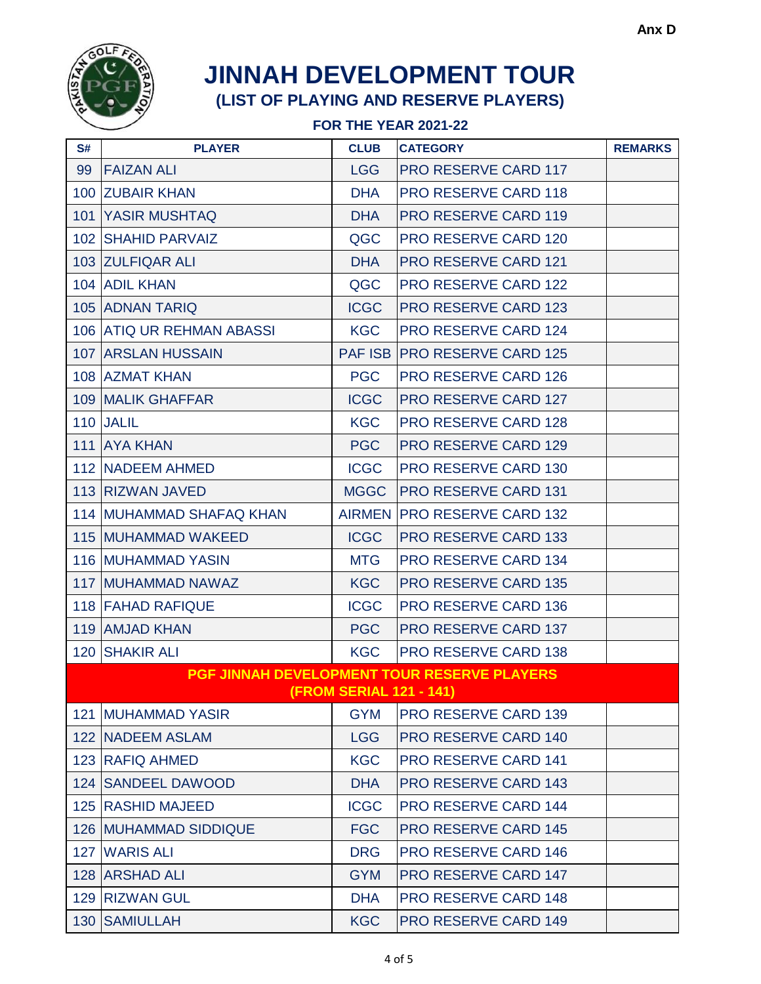

| S#                                          | <b>PLAYER</b>                | <b>CLUB</b> | <b>CATEGORY</b>                     | <b>REMARKS</b> |  |
|---------------------------------------------|------------------------------|-------------|-------------------------------------|----------------|--|
| 99                                          | <b>FAIZAN ALI</b>            | <b>LGG</b>  | <b>PRO RESERVE CARD 117</b>         |                |  |
|                                             | 100 ZUBAIR KHAN              | <b>DHA</b>  | <b>PRO RESERVE CARD 118</b>         |                |  |
|                                             | <b>101 YASIR MUSHTAQ</b>     | <b>DHA</b>  | <b>PRO RESERVE CARD 119</b>         |                |  |
|                                             | 102 SHAHID PARVAIZ           | QGC         | <b>PRO RESERVE CARD 120</b>         |                |  |
|                                             | 103 ZULFIQAR ALI             | <b>DHA</b>  | <b>PRO RESERVE CARD 121</b>         |                |  |
|                                             | 104 ADIL KHAN                | QGC         | <b>PRO RESERVE CARD 122</b>         |                |  |
|                                             | <b>105 ADNAN TARIQ</b>       | <b>ICGC</b> | <b>PRO RESERVE CARD 123</b>         |                |  |
|                                             | 106 ATIQ UR REHMAN ABASSI    | <b>KGC</b>  | <b>PRO RESERVE CARD 124</b>         |                |  |
|                                             | <b>107 ARSLAN HUSSAIN</b>    |             | <b>PAF ISB PRO RESERVE CARD 125</b> |                |  |
|                                             | 108 AZMAT KHAN               | <b>PGC</b>  | <b>PRO RESERVE CARD 126</b>         |                |  |
|                                             | <b>109 MALIK GHAFFAR</b>     | <b>ICGC</b> | <b>PRO RESERVE CARD 127</b>         |                |  |
|                                             | 110 JALIL                    | <b>KGC</b>  | <b>PRO RESERVE CARD 128</b>         |                |  |
|                                             | 111 AYA KHAN                 | <b>PGC</b>  | <b>PRO RESERVE CARD 129</b>         |                |  |
|                                             | 112 NADEEM AHMED             | <b>ICGC</b> | <b>PRO RESERVE CARD 130</b>         |                |  |
|                                             | 113 RIZWAN JAVED             | <b>MGGC</b> | <b>PRO RESERVE CARD 131</b>         |                |  |
|                                             | 114 MUHAMMAD SHAFAQ KHAN     |             | AIRMEN PRO RESERVE CARD 132         |                |  |
|                                             | <b>115 MUHAMMAD WAKEED</b>   | <b>ICGC</b> | <b>PRO RESERVE CARD 133</b>         |                |  |
|                                             | <b>116 MUHAMMAD YASIN</b>    | <b>MTG</b>  | <b>PRO RESERVE CARD 134</b>         |                |  |
|                                             | <b>117 MUHAMMAD NAWAZ</b>    | <b>KGC</b>  | <b>PRO RESERVE CARD 135</b>         |                |  |
|                                             | <b>118 FAHAD RAFIQUE</b>     | <b>ICGC</b> | <b>PRO RESERVE CARD 136</b>         |                |  |
|                                             | 119 AMJAD KHAN               | <b>PGC</b>  | <b>PRO RESERVE CARD 137</b>         |                |  |
|                                             | 120 SHAKIR ALI               | <b>KGC</b>  | <b>PRO RESERVE CARD 138</b>         |                |  |
| PGF JINNAH DEVELOPMENT TOUR RESERVE PLAYERS |                              |             |                                     |                |  |
|                                             |                              |             | <b>(FROM SERIAL 121 - 141)</b>      |                |  |
|                                             | <b>121 IMUHAMMAD YASIR</b>   | <b>GYM</b>  | <b>PRO RESERVE CARD 139</b>         |                |  |
|                                             | 122 NADEEM ASLAM             | <b>LGG</b>  | <b>PRO RESERVE CARD 140</b>         |                |  |
|                                             | 123 RAFIQ AHMED              | <b>KGC</b>  | <b>PRO RESERVE CARD 141</b>         |                |  |
|                                             | 124 SANDEEL DAWOOD           | <b>DHA</b>  | <b>PRO RESERVE CARD 143</b>         |                |  |
|                                             | 125 RASHID MAJEED            | <b>ICGC</b> | <b>PRO RESERVE CARD 144</b>         |                |  |
|                                             | <b>126 MUHAMMAD SIDDIQUE</b> | <b>FGC</b>  | <b>PRO RESERVE CARD 145</b>         |                |  |
|                                             | 127 WARIS ALI                | <b>DRG</b>  | <b>PRO RESERVE CARD 146</b>         |                |  |
|                                             | 128 ARSHAD ALI               | <b>GYM</b>  | <b>PRO RESERVE CARD 147</b>         |                |  |
|                                             | 129 RIZWAN GUL               | <b>DHA</b>  | <b>PRO RESERVE CARD 148</b>         |                |  |
|                                             | 130 SAMIULLAH                | <b>KGC</b>  | <b>PRO RESERVE CARD 149</b>         |                |  |